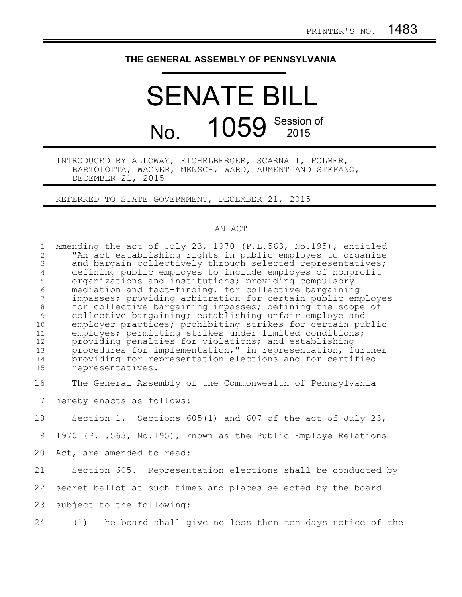## **THE GENERAL ASSEMBLY OF PENNSYLVANIA**

## SENATE BILL No. 1059 Session of 2015

INTRODUCED BY ALLOWAY, EICHELBERGER, SCARNATI, FOLMER, BARTOLOTTA, WAGNER, MENSCH, WARD, AUMENT AND STEFANO, DECEMBER 21, 2015

REFERRED TO STATE GOVERNMENT, DECEMBER 21, 2015

## AN ACT

Amending the act of July 23, 1970 (P.L.563, No.195), entitled "An act establishing rights in public employes to organize and bargain collectively through selected representatives; defining public employes to include employes of nonprofit organizations and institutions; providing compulsory mediation and fact-finding, for collective bargaining impasses; providing arbitration for certain public employes for collective bargaining impasses; defining the scope of collective bargaining; establishing unfair employe and employer practices; prohibiting strikes for certain public employes; permitting strikes under limited conditions; providing penalties for violations; and establishing procedures for implementation," in representation, further providing for representation elections and for certified representatives. The General Assembly of the Commonwealth of Pennsylvania hereby enacts as follows: 1 2 3 4 5 6 7 8 9 10 11 12 13 14 15 16 17

Section 1. Sections 605(1) and 607 of the act of July 23, 1970 (P.L.563, No.195), known as the Public Employe Relations Act, are amended to read: 18 19 20

Section 605. Representation elections shall be conducted by secret ballot at such times and places selected by the board subject to the following: 21 22 23

(1) The board shall give no less then ten days notice of the 24